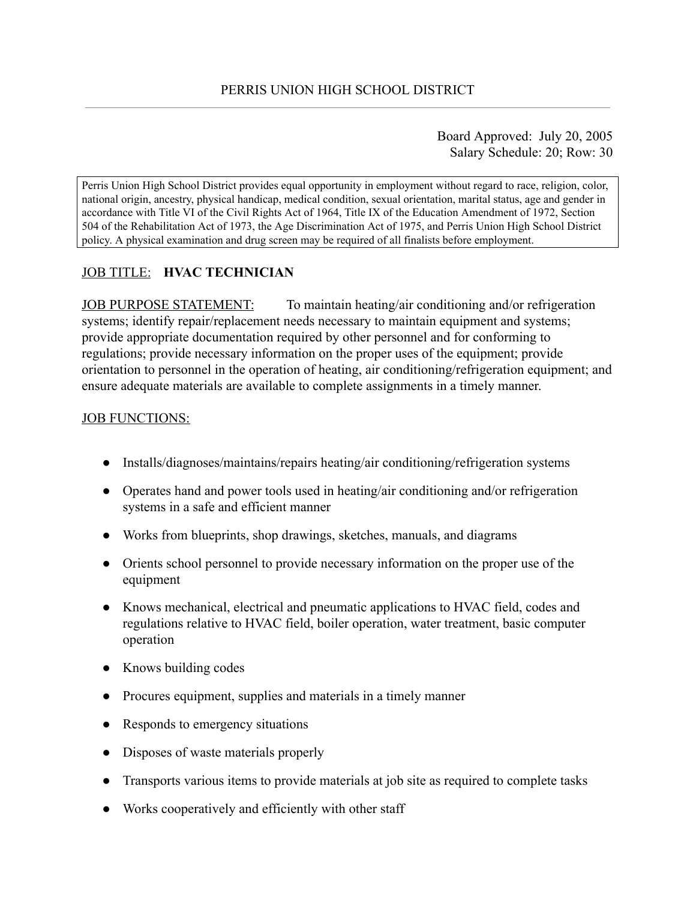Board Approved: July 20, 2005 Salary Schedule: 20; Row: 30

Perris Union High School District provides equal opportunity in employment without regard to race, religion, color, national origin, ancestry, physical handicap, medical condition, sexual orientation, marital status, age and gender in accordance with Title VI of the Civil Rights Act of 1964, Title IX of the Education Amendment of 1972, Section 504 of the Rehabilitation Act of 1973, the Age Discrimination Act of 1975, and Perris Union High School District policy. A physical examination and drug screen may be required of all finalists before employment.

# JOB TITLE: **HVAC TECHNICIAN**

JOB PURPOSE STATEMENT: To maintain heating/air conditioning and/or refrigeration systems; identify repair/replacement needs necessary to maintain equipment and systems; provide appropriate documentation required by other personnel and for conforming to regulations; provide necessary information on the proper uses of the equipment; provide orientation to personnel in the operation of heating, air conditioning/refrigeration equipment; and ensure adequate materials are available to complete assignments in a timely manner.

## **JOB FUNCTIONS:**

- Installs/diagnoses/maintains/repairs heating/air conditioning/refrigeration systems
- Operates hand and power tools used in heating/air conditioning and/or refrigeration systems in a safe and efficient manner
- Works from blueprints, shop drawings, sketches, manuals, and diagrams
- Orients school personnel to provide necessary information on the proper use of the equipment
- Knows mechanical, electrical and pneumatic applications to HVAC field, codes and regulations relative to HVAC field, boiler operation, water treatment, basic computer operation
- Knows building codes
- Procures equipment, supplies and materials in a timely manner
- Responds to emergency situations
- Disposes of waste materials properly
- Transports various items to provide materials at job site as required to complete tasks
- Works cooperatively and efficiently with other staff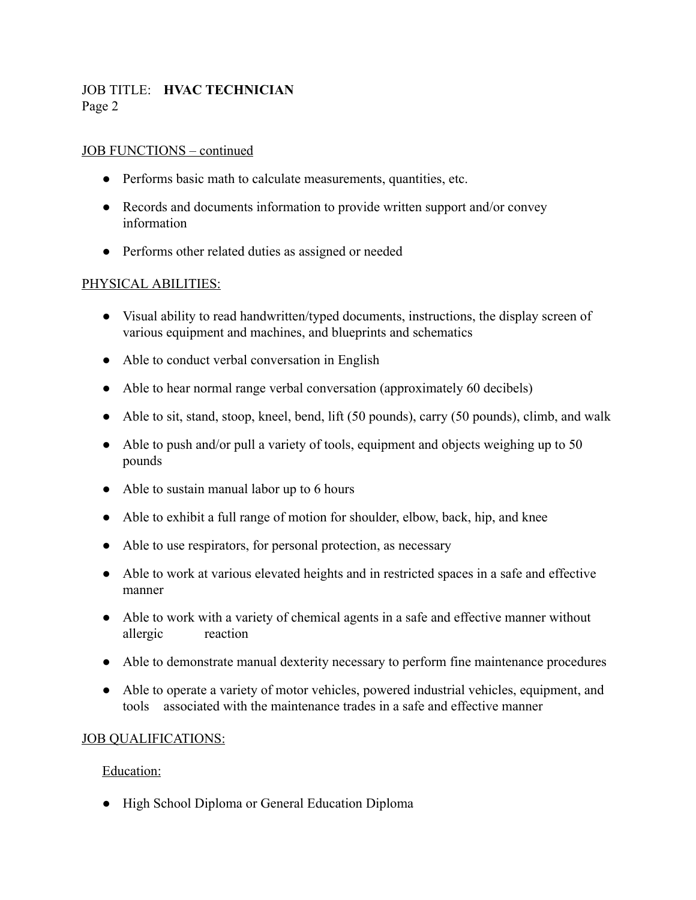## JOB TITLE: **HVAC TECHNICIAN** Page 2

### JOB FUNCTIONS – continued

- Performs basic math to calculate measurements, quantities, etc.
- Records and documents information to provide written support and/or convey information
- Performs other related duties as assigned or needed

### PHYSICAL ABILITIES:

- Visual ability to read handwritten/typed documents, instructions, the display screen of various equipment and machines, and blueprints and schematics
- Able to conduct verbal conversation in English
- Able to hear normal range verbal conversation (approximately 60 decibels)
- Able to sit, stand, stoop, kneel, bend, lift (50 pounds), carry (50 pounds), climb, and walk
- Able to push and/or pull a variety of tools, equipment and objects weighing up to 50 pounds
- Able to sustain manual labor up to 6 hours
- Able to exhibit a full range of motion for shoulder, elbow, back, hip, and knee
- Able to use respirators, for personal protection, as necessary
- Able to work at various elevated heights and in restricted spaces in a safe and effective manner
- Able to work with a variety of chemical agents in a safe and effective manner without allergic reaction
- Able to demonstrate manual dexterity necessary to perform fine maintenance procedures
- Able to operate a variety of motor vehicles, powered industrial vehicles, equipment, and tools associated with the maintenance trades in a safe and effective manner

#### JOB QUALIFICATIONS:

#### Education:

● High School Diploma or General Education Diploma